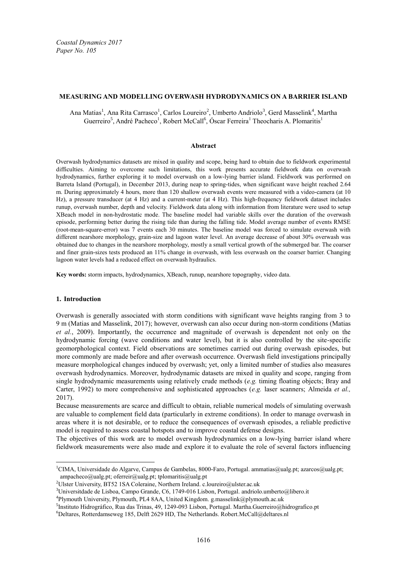### **MEASURING AND MODELLING OVERWASH HYDRODYNAMICS ON A BARRIER ISLAND**

Ana Matias<sup>1</sup>, Ana Rita Carrasco<sup>1</sup>, Carlos Loureiro<sup>2</sup>, Umberto Andriolo<sup>3</sup>, Gerd Masselink<sup>4</sup>, Martha Guerreiro<sup>5</sup>, André Pacheco<sup>1</sup>, Robert McCall<sup>6</sup>, Óscar Ferreira<sup>1</sup> Theocharis A. Plomaritis<sup>1</sup>

# **Abstract**

Overwash hydrodynamics datasets are mixed in quality and scope, being hard to obtain due to fieldwork experimental difficulties. Aiming to overcome such limitations, this work presents accurate fieldwork data on overwash hydrodynamics, further exploring it to model overwash on a low-lying barrier island. Fieldwork was performed on Barreta Island (Portugal), in December 2013, during neap to spring-tides, when significant wave height reached 2.64 m. During approximately 4 hours, more than 120 shallow overwash events were measured with a video-camera (at 10 Hz), a pressure transducer (at 4 Hz) and a current-meter (at 4 Hz). This high-frequency fieldwork dataset includes runup, overwash number, depth and velocity. Fieldwork data along with information from literature were used to setup XBeach model in non-hydrostatic mode. The baseline model had variable skills over the duration of the overwash episode, performing better during the rising tide than during the falling tide. Model average number of events RMSE (root-mean-square-error) was 7 events each 30 minutes. The baseline model was forced to simulate overwash with different nearshore morphology, grain-size and lagoon water level. An average decrease of about 30% overwash was obtained due to changes in the nearshore morphology, mostly a small vertical growth of the submerged bar. The coarser and finer grain-sizes tests produced an 11% change in overwash, with less overwash on the coarser barrier. Changing lagoon water levels had a reduced effect on overwash hydraulics.

**Key words:** storm impacts, hydrodynamics, XBeach, runup, nearshore topography, video data.

#### **1. Introduction**

 $\overline{a}$ 

Overwash is generally associated with storm conditions with significant wave heights ranging from 3 to 9 m (Matias and Masselink, 2017); however, overwash can also occur during non-storm conditions (Matias *et al.*, 2009). Importantly, the occurrence and magnitude of overwash is dependent not only on the hydrodynamic forcing (wave conditions and water level), but it is also controlled by the site-specific geomorphological context. Field observations are sometimes carried out during overwash episodes, but more commonly are made before and after overwash occurrence. Overwash field investigations principally measure morphological changes induced by overwash; yet, only a limited number of studies also measures overwash hydrodynamics. Moreover, hydrodynamic datasets are mixed in quality and scope, ranging from single hydrodynamic measurements using relatively crude methods (*e.g.* timing floating objects; Bray and Carter, 1992) to more comprehensive and sophisticated approaches (*e.g.* laser scanners; Almeida *et al.,* 2017).

Because measurements are scarce and difficult to obtain, reliable numerical models of simulating overwash are valuable to complement field data (particularly in extreme conditions). In order to manage overwash in areas where it is not desirable, or to reduce the consequences of overwash episodes, a reliable predictive model is required to assess coastal hotspots and to improve coastal defense designs.

The objectives of this work are to model overwash hydrodynamics on a low-lying barrier island where fieldwork measurements were also made and explore it to evaluate the role of several factors influencing

<sup>&</sup>lt;sup>1</sup>CIMA, Universidade do Algarve, Campus de Gambelas, 8000-Faro, Portugal. ammatias@ualg.pt; azarcos@ualg.pt; ampacheco@ualg.pt; oferreir@ualg.pt; tplomaritis@ualg.pt

<sup>&</sup>lt;sup>2</sup>Ulster University, BT52 1SA Coleraine, Northern Ireland. c.loureiro@ulster.ac.uk

 $3$ Universitdade de Lisboa, Campo Grande, C6, 1749-016 Lisbon, Portugal, andriolo.umberto@libero.it

<sup>4</sup> Plymouth University, Plymouth, PL4 8AA, United Kingdom. g.masselink@plymouth.ac.uk

<sup>5</sup> Instituto Hidrográfico, Rua das Trinas, 49, 1249-093 Lisbon, Portugal. Martha.Guerreiro@hidrografico.pt

 $6$ Deltares, Rotterdamseweg 185, Delft 2629 HD, The Netherlands. Robert.McCall@deltares.nl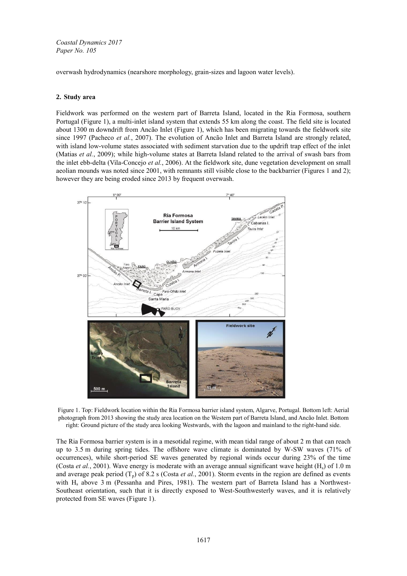overwash hydrodynamics (nearshore morphology, grain-sizes and lagoon water levels).

# **2. Study area**

Fieldwork was performed on the western part of Barreta Island, located in the Ria Formosa, southern Portugal (Figure 1), a multi-inlet island system that extends 55 km along the coast. The field site is located about 1300 m downdrift from Ancão Inlet (Figure 1), which has been migrating towards the fieldwork site since 1997 (Pacheco *et al.*, 2007). The evolution of Ancão Inlet and Barreta Island are strongly related, with island low-volume states associated with sediment starvation due to the updrift trap effect of the inlet (Matias *et al.*, 2009); while high-volume states at Barreta Island related to the arrival of swash bars from the inlet ebb-delta (Vila-Concejo *et al.*, 2006). At the fieldwork site, dune vegetation development on small aeolian mounds was noted since 2001, with remnants still visible close to the backbarrier (Figures 1 and 2); however they are being eroded since 2013 by frequent overwash.



Figure 1. Top: Fieldwork location within the Ria Formosa barrier island system, Algarve, Portugal. Bottom left: Aerial photograph from 2013 showing the study area location on the Western part of Barreta Island, and Ancão Inlet. Bottom right: Ground picture of the study area looking Westwards, with the lagoon and mainland to the right-hand side.

The Ria Formosa barrier system is in a mesotidal regime, with mean tidal range of about 2 m that can reach up to 3.5 m during spring tides. The offshore wave climate is dominated by W-SW waves (71% of occurrences), while short-period SE waves generated by regional winds occur during 23% of the time (Costa *et al.*, 2001). Wave energy is moderate with an average annual significant wave height (Hs) of 1.0 m and average peak period  $(T_p)$  of 8.2 s (Costa *et al.*, 2001). Storm events in the region are defined as events with H<sub>s</sub> above 3 m (Pessanha and Pires, 1981). The western part of Barreta Island has a Northwest-Southeast orientation, such that it is directly exposed to West-Southwesterly waves, and it is relatively protected from SE waves (Figure 1).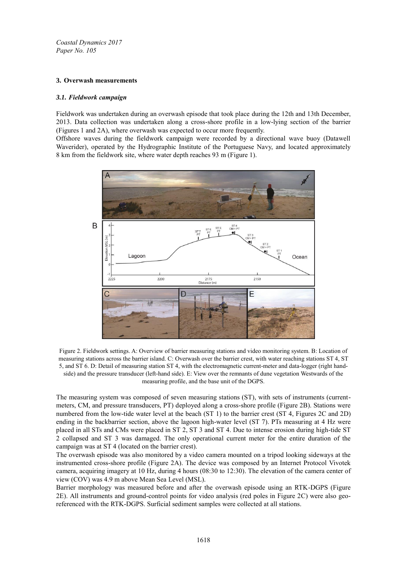# **3. Overwash measurements**

### *3.1. Fieldwork campaign*

Fieldwork was undertaken during an overwash episode that took place during the 12th and 13th December, 2013. Data collection was undertaken along a cross-shore profile in a low-lying section of the barrier (Figures 1 and 2A), where overwash was expected to occur more frequently.

Offshore waves during the fieldwork campaign were recorded by a directional wave buoy (Datawell Waverider), operated by the Hydrographic Institute of the Portuguese Navy, and located approximately 8 km from the fieldwork site, where water depth reaches 93 m (Figure 1).



Figure 2. Fieldwork settings. A: Overview of barrier measuring stations and video monitoring system. B: Location of measuring stations across the barrier island. C: Overwash over the barrier crest, with water reaching stations ST 4, ST 5, and ST 6. D: Detail of measuring station ST 4, with the electromagnetic current-meter and data-logger (right handside) and the pressure transducer (left-hand side). E: View over the remnants of dune vegetation Westwards of the measuring profile, and the base unit of the DGPS.

The measuring system was composed of seven measuring stations (ST), with sets of instruments (currentmeters, CM, and pressure transducers, PT) deployed along a cross-shore profile (Figure 2B). Stations were numbered from the low-tide water level at the beach (ST 1) to the barrier crest (ST 4, Figures 2C and 2D) ending in the backbarrier section, above the lagoon high-water level (ST 7). PTs measuring at 4 Hz were placed in all STs and CMs were placed in ST 2, ST 3 and ST 4. Due to intense erosion during high-tide ST 2 collapsed and ST 3 was damaged. The only operational current meter for the entire duration of the campaign was at ST 4 (located on the barrier crest).

The overwash episode was also monitored by a video camera mounted on a tripod looking sideways at the instrumented cross-shore profile (Figure 2A). The device was composed by an Internet Protocol Vivotek camera, acquiring imagery at 10 Hz, during 4 hours (08:30 to 12:30). The elevation of the camera center of view (COV) was 4.9 m above Mean Sea Level (MSL).

Barrier morphology was measured before and after the overwash episode using an RTK-DGPS (Figure 2E). All instruments and ground-control points for video analysis (red poles in Figure 2C) were also georeferenced with the RTK-DGPS. Surficial sediment samples were collected at all stations.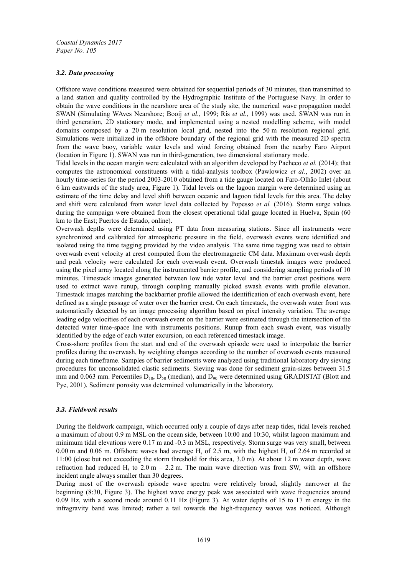# *3.2. Data processing*

Offshore wave conditions measured were obtained for sequential periods of 30 minutes, then transmitted to a land station and quality controlled by the Hydrographic Institute of the Portuguese Navy. In order to obtain the wave conditions in the nearshore area of the study site, the numerical wave propagation model SWAN (Simulating WAves Nearshore; Booij *et al.*, 1999; Ris *et al.*, 1999) was used. SWAN was run in third generation, 2D stationary mode, and implemented using a nested modelling scheme, with model domains composed by a 20 m resolution local grid, nested into the 50 m resolution regional grid. Simulations were initialized in the offshore boundary of the regional grid with the measured 2D spectra from the wave buoy, variable water levels and wind forcing obtained from the nearby Faro Airport (location in Figure 1). SWAN was run in third-generation, two dimensional stationary mode.

Tidal levels in the ocean margin were calculated with an algorithm developed by Pacheco *et al.* (2014); that computes the astronomical constituents with a tidal-analysis toolbox (Pawlowicz *et al.*, 2002) over an hourly time-series for the period 2003-2010 obtained from a tide gauge located on Faro-Olhão Inlet (about 6 km eastwards of the study area, Figure 1). Tidal levels on the lagoon margin were determined using an estimate of the time delay and level shift between oceanic and lagoon tidal levels for this area. The delay and shift were calculated from water level data collected by Popesso *et al.* (2016). Storm surge values during the campaign were obtained from the closest operational tidal gauge located in Huelva, Spain (60) km to the East; Puertos de Estado, online).

Overwash depths were determined using PT data from measuring stations. Since all instruments were synchronized and calibrated for atmospheric pressure in the field, overwash events were identified and isolated using the time tagging provided by the video analysis. The same time tagging was used to obtain overwash event velocity at crest computed from the electromagnetic CM data. Maximum overwash depth and peak velocity were calculated for each overwash event. Overwash timestak images were produced using the pixel array located along the instrumented barrier profile, and considering sampling periods of 10 minutes. Timestack images generated between low tide water level and the barrier crest positions were used to extract wave runup, through coupling manually picked swash events with profile elevation. Timestack images matching the backbarrier profile allowed the identification of each overwash event, here defined as a single passage of water over the barrier crest. On each timestack, the overwash water front was automatically detected by an image processing algorithm based on pixel intensity variation. The average leading edge velocities of each overwash event on the barrier were estimated through the intersection of the detected water time-space line with instruments positions. Runup from each swash event, was visually identified by the edge of each water excursion, on each referenced timestack image.

Cross-shore profiles from the start and end of the overwash episode were used to interpolate the barrier profiles during the overwash, by weighting changes according to the number of overwash events measured during each timeframe. Samples of barrier sediments were analyzed using traditional laboratory dry sieving procedures for unconsolidated clastic sediments. Sieving was done for sediment grain-sizes between 31.5 mm and 0.063 mm. Percentiles  $D_{10}$ ,  $D_{50}$  (median), and  $D_{90}$  were determined using GRADISTAT (Blott and Pye, 2001). Sediment porosity was determined volumetrically in the laboratory.

### *3.3. Fieldwork results*

During the fieldwork campaign, which occurred only a couple of days after neap tides, tidal levels reached a maximum of about 0.9 m MSL on the ocean side, between 10:00 and 10:30, whilst lagoon maximum and minimum tidal elevations were  $0.17$  m and  $-0.3$  m MSL, respectively. Storm surge was very small, between 0.00 m and 0.06 m. Offshore waves had average  $H_s$  of 2.5 m, with the highest  $H_s$  of 2.64 m recorded at 11:00 (close but not exceeding the storm threshold for this area, 3.0 m). At about 12 m water depth, wave refraction had reduced  $H_s$  to 2.0 m – 2.2 m. The main wave direction was from SW, with an offshore incident angle always smaller than 30 degrees.

During most of the overwash episode wave spectra were relatively broad, slightly narrower at the beginning (8:30, Figure 3). The highest wave energy peak was associated with wave frequencies around 0.09 Hz, with a second mode around 0.11 Hz (Figure 3). At water depths of 15 to 17 m energy in the infragravity band was limited; rather a tail towards the high-frequency waves was noticed. Although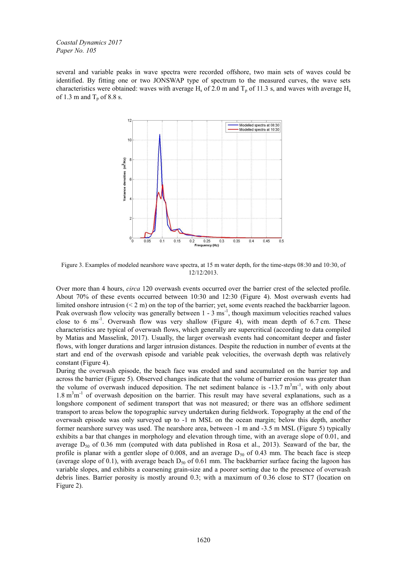several and variable peaks in wave spectra were recorded offshore, two main sets of waves could be identified. By fitting one or two JONSWAP type of spectrum to the measured curves, the wave sets characteristics were obtained: waves with average  $H_s$  of 2.0 m and  $T_p$  of 11.3 s, and waves with average  $H_s$ of 1.3 m and  $T_p$  of 8.8 s.



Figure 3. Examples of modeled nearshore wave spectra, at 15 m water depth, for the time-steps 08:30 and 10:30, of 12/12/2013.

Over more than 4 hours, *circa* 120 overwash events occurred over the barrier crest of the selected profile. About 70% of these events occurred between 10:30 and 12:30 (Figure 4). Most overwash events had limited onshore intrusion (< 2 m) on the top of the barrier; yet, some events reached the backbarrier lagoon. Peak overwash flow velocity was generally between  $1 - 3$  ms<sup>-1</sup>, though maximum velocities reached values close to 6 ms<sup>-1</sup>. Overwash flow was very shallow (Figure 4), with mean depth of 6.7 cm. These characteristics are typical of overwash flows, which generally are supercritical (according to data compiled by Matias and Masselink, 2017). Usually, the larger overwash events had concomitant deeper and faster flows, with longer durations and larger intrusion distances. Despite the reduction in number of events at the start and end of the overwash episode and variable peak velocities, the overwash depth was relatively constant (Figure 4).

During the overwash episode, the beach face was eroded and sand accumulated on the barrier top and across the barrier (Figure 5). Observed changes indicate that the volume of barrier erosion was greater than the volume of overwash induced deposition. The net sediment balance is  $-13.7 \text{ m}^3 \text{m}^{-1}$ , with only about  $1.8 \text{ m}^3 \text{m}^{-1}$  of overwash deposition on the barrier. This result may have several explanations, such as a longshore component of sediment transport that was not measured; or there was an offshore sediment transport to areas below the topographic survey undertaken during fieldwork. Topography at the end of the overwash episode was only surveyed up to -1 m MSL on the ocean margin; below this depth, another former nearshore survey was used. The nearshore area, between -1 m and -3.5 m MSL (Figure 5) typically exhibits a bar that changes in morphology and elevation through time, with an average slope of 0.01, and average  $D_{50}$  of 0.36 mm (computed with data published in Rosa et al., 2013). Seaward of the bar, the profile is planar with a gentler slope of 0.008, and an average  $D_{50}$  of 0.43 mm. The beach face is steep (average slope of 0.1), with average beach  $D_{50}$  of 0.61 mm. The backbarrier surface facing the lagoon has variable slopes, and exhibits a coarsening grain-size and a poorer sorting due to the presence of overwash debris lines. Barrier porosity is mostly around 0.3; with a maximum of 0.36 close to ST7 (location on Figure 2).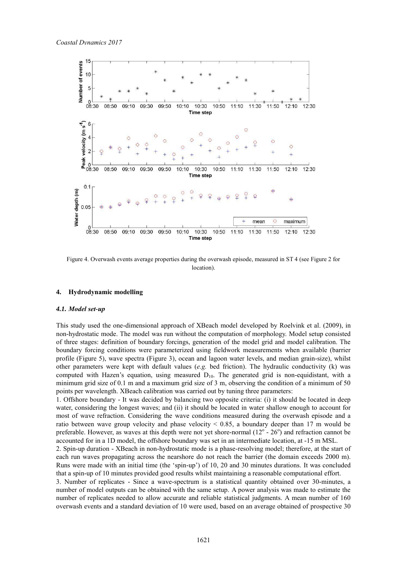

Figure 4. Overwash events average properties during the overwash episode, measured in ST 4 (see Figure 2 for location).

### **4. Hydrodynamic modelling**

#### *4.1. Model set-up*

This study used the one-dimensional approach of XBeach model developed by Roelvink et al. (2009), in non-hydrostatic mode. The model was run without the computation of morphology. Model setup consisted of three stages: definition of boundary forcings, generation of the model grid and model calibration. The boundary forcing conditions were parameterized using fieldwork measurements when available (barrier profile (Figure 5), wave spectra (Figure 3), ocean and lagoon water levels, and median grain-size), whilst other parameters were kept with default values (*e.g.* bed friction). The hydraulic conductivity (k) was computed with Hazen's equation, using measured  $D_{10}$ . The generated grid is non-equidistant, with a minimum grid size of 0.1 m and a maximum grid size of 3 m, observing the condition of a minimum of 50 points per wavelength. XBeach calibration was carried out by tuning three parameters:

1. Offshore boundary - It was decided by balancing two opposite criteria: (i) it should be located in deep water, considering the longest waves; and (ii) it should be located in water shallow enough to account for most of wave refraction. Considering the wave conditions measured during the overwash episode and a ratio between wave group velocity and phase velocity  $\leq 0.85$ , a boundary deeper than 17 m would be preferable. However, as waves at this depth were not yet shore-normal  $(12^{\circ} - 26^{\circ})$  and refraction cannot be accounted for in a 1D model, the offshore boundary was set in an intermediate location, at -15 m MSL.

2. Spin-up duration - XBeach in non-hydrostatic mode is a phase-resolving model; therefore, at the start of each run waves propagating across the nearshore do not reach the barrier (the domain exceeds 2000 m). Runs were made with an initial time (the 'spin-up') of 10, 20 and 30 minutes durations. It was concluded that a spin-up of 10 minutes provided good results whilst maintaining a reasonable computational effort.

3. Number of replicates - Since a wave-spectrum is a statistical quantity obtained over 30-minutes, a number of model outputs can be obtained with the same setup. A power analysis was made to estimate the number of replicates needed to allow accurate and reliable statistical judgments. A mean number of 160 overwash events and a standard deviation of 10 were used, based on an average obtained of prospective 30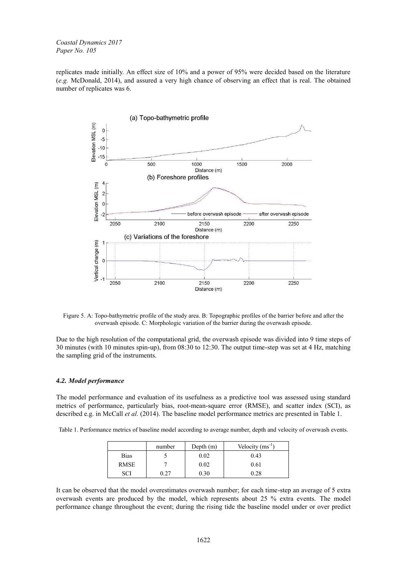replicates made initially. An effect size of 10% and a power of 95% were decided based on the literature (*e.g.* McDonald, 2014), and assured a very high chance of observing an effect that is real. The obtained number of replicates was 6.



Figure 5. A: Topo-bathymetric profile of the study area. B: Topographic profiles of the barrier before and after the overwash episode. C: Morphologic variation of the barrier during the overwash episode.

Due to the high resolution of the computational grid, the overwash episode was divided into 9 time steps of 30 minutes (with 10 minutes spin-up), from 08:30 to 12:30. The output time-step was set at 4 Hz, matching the sampling grid of the instruments.

### *4.2. Model performance*

The model performance and evaluation of its usefulness as a predictive tool was assessed using standard metrics of performance, particularly bias, root-mean-square error (RMSE), and scatter index (SCI), as described e.g. in McCall *et al.* (2014). The baseline model performance metrics are presented in Table 1.

Table 1. Performance metrics of baseline model according to average number, depth and velocity of overwash events.

|             | number | Depth $(m)$ | Velocity $(ms^{-1})$ |
|-------------|--------|-------------|----------------------|
| <b>Bias</b> |        | 0.02        | 0.43                 |
| <b>RMSE</b> |        | 0.02        | 0.61                 |
| <b>COL</b>  |        | 0.30        | 0.28                 |

It can be observed that the model overestimates overwash number; for each time-step an average of 5 extra overwash events are produced by the model, which represents about 25 % extra events. The model performance change throughout the event; during the rising tide the baseline model under or over predict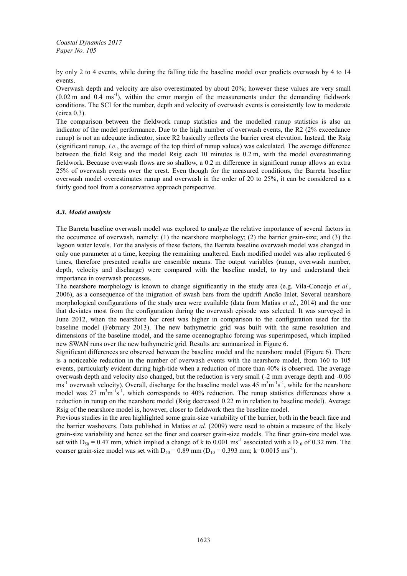by only 2 to 4 events, while during the falling tide the baseline model over predicts overwash by 4 to 14 events.

Overwash depth and velocity are also overestimated by about 20%; however these values are very small  $(0.02 \text{ m and } 0.4 \text{ ms}^{-1})$ , within the error margin of the measurements under the demanding fieldwork conditions. The SCI for the number, depth and velocity of overwash events is consistently low to moderate (circa 0.3).

The comparison between the fieldwork runup statistics and the modelled runup statistics is also an indicator of the model performance. Due to the high number of overwash events, the R2 (2% exceedance runup) is not an adequate indicator, since R2 basically reflects the barrier crest elevation. Instead, the Rsig (significant runup, *i.e.*, the average of the top third of runup values) was calculated. The average difference between the field Rsig and the model Rsig each 10 minutes is 0.2 m, with the model overestimating fieldwork. Because overwash flows are so shallow, a 0.2 m difference in significant runup allows an extra 25% of overwash events over the crest. Even though for the measured conditions, the Barreta baseline overwash model overestimates runup and overwash in the order of 20 to 25%, it can be considered as a fairly good tool from a conservative approach perspective.

# *4.3. Model analysis*

The Barreta baseline overwash model was explored to analyze the relative importance of several factors in the occurrence of overwash, namely: (1) the nearshore morphology; (2) the barrier grain-size; and (3) the lagoon water levels. For the analysis of these factors, the Barreta baseline overwash model was changed in only one parameter at a time, keeping the remaining unaltered. Each modified model was also replicated 6 times, therefore presented results are ensemble means. The output variables (runup, overwash number, depth, velocity and discharge) were compared with the baseline model, to try and understand their importance in overwash processes.

The nearshore morphology is known to change significantly in the study area (e.g. Vila-Concejo *et al.*, 2006), as a consequence of the migration of swash bars from the updrift Ancão Inlet. Several nearshore morphological configurations of the study area were available (data from Matias *et al.*, 2014) and the one that deviates most from the configuration during the overwash episode was selected. It was surveyed in June 2012, when the nearshore bar crest was higher in comparison to the configuration used for the baseline model (February 2013). The new bathymetric grid was built with the same resolution and dimensions of the baseline model, and the same oceanographic forcing was superimposed, which implied new SWAN runs over the new bathymetric grid. Results are summarized in Figure 6.

Significant differences are observed between the baseline model and the nearshore model (Figure 6). There is a noticeable reduction in the number of overwash events with the nearshore model, from 160 to 105 events, particularly evident during high-tide when a reduction of more than 40% is observed. The average overwash depth and velocity also changed, but the reduction is very small (-2 mm average depth and -0.06 ms<sup>-1</sup> overwash velocity). Overall, discharge for the baseline model was  $45 \text{ m}^3 \text{m}^{-1} \text{s}^{-1}$ , while for the nearshore model was 27  $m^3m^{-1}s^{-1}$ , which corresponds to 40% reduction. The runup statistics differences show a reduction in runup on the nearshore model (Rsig decreased 0.22 m in relation to baseline model). Average Rsig of the nearshore model is, however, closer to fieldwork then the baseline model.

Previous studies in the area highlighted some grain-size variability of the barrier, both in the beach face and the barrier washovers. Data published in Matias *et al.* (2009) were used to obtain a measure of the likely grain-size variability and hence set the finer and coarser grain-size models. The finer grain-size model was set with  $D_{50} = 0.47$  mm, which implied a change of k to 0.001 ms<sup>-1</sup> associated with a  $D_{10}$  of 0.32 mm. The coarser grain-size model was set with  $D_{50} = 0.89$  mm ( $D_{10} = 0.393$  mm; k=0.0015 ms<sup>-1</sup>).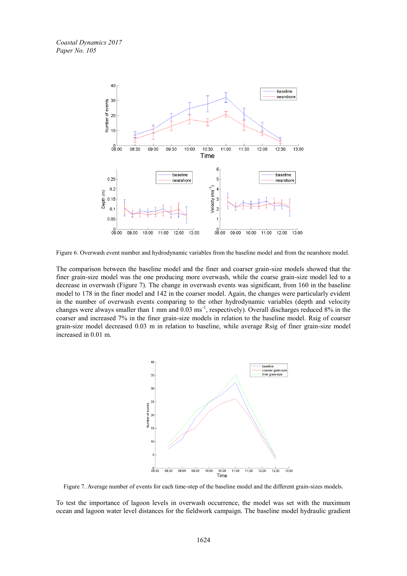

Figure 6. Overwash event number and hydrodynamic variables from the baseline model and from the nearshore model.

The comparison between the baseline model and the finer and coarser grain-size models showed that the finer grain-size model was the one producing more overwash, while the coarse grain-size model led to a decrease in overwash (Figure 7). The change in overwash events was significant, from 160 in the baseline model to 178 in the finer model and 142 in the coarser model. Again, the changes were particularly evident in the number of overwash events comparing to the other hydrodynamic variables (depth and velocity changes were always smaller than 1 mm and  $0.03 \text{ ms}^{-1}$ , respectively). Overall discharges reduced 8% in the coarser and increased 7% in the finer grain-size models in relation to the baseline model. Rsig of coarser grain-size model decreased 0.03 m in relation to baseline, while average Rsig of finer grain-size model increased in 0.01 m.



Figure 7. Average number of events for each time-step of the baseline model and the different grain-sizes models.

To test the importance of lagoon levels in overwash occurrence, the model was set with the maximum ocean and lagoon water level distances for the fieldwork campaign. The baseline model hydraulic gradient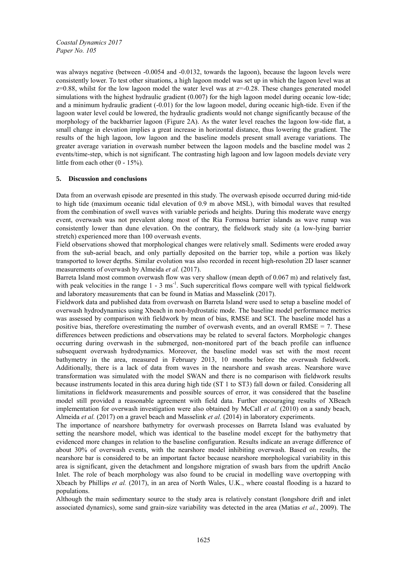was always negative (between -0.0054 and -0.0132, towards the lagoon), because the lagoon levels were consistently lower. To test other situations, a high lagoon model was set up in which the lagoon level was at  $z=0.88$ , whilst for the low lagoon model the water level was at  $z=-0.28$ . These changes generated model simulations with the highest hydraulic gradient (0.007) for the high lagoon model during oceanic low-tide; and a minimum hydraulic gradient (-0.01) for the low lagoon model, during oceanic high-tide. Even if the lagoon water level could be lowered, the hydraulic gradients would not change significantly because of the morphology of the backbarrier lagoon (Figure 2A). As the water level reaches the lagoon low-tide flat, a small change in elevation implies a great increase in horizontal distance, thus lowering the gradient. The results of the high lagoon, low lagoon and the baseline models present small average variations. The greater average variation in overwash number between the lagoon models and the baseline model was 2 events/time-step, which is not significant. The contrasting high lagoon and low lagoon models deviate very little from each other (0 - 15%).

# **5. Discussion and conclusions**

Data from an overwash episode are presented in this study. The overwash episode occurred during mid-tide to high tide (maximum oceanic tidal elevation of 0.9 m above MSL), with bimodal waves that resulted from the combination of swell waves with variable periods and heights. During this moderate wave energy event, overwash was not prevalent along most of the Ria Formosa barrier islands as wave runup was consistently lower than dune elevation. On the contrary, the fieldwork study site (a low-lying barrier stretch) experienced more than 100 overwash events.

Field observations showed that morphological changes were relatively small. Sediments were eroded away from the sub-aerial beach, and only partially deposited on the barrier top, while a portion was likely transported to lower depths. Similar evolution was also recorded in recent high-resolution 2D laser scanner measurements of overwash by Almeida *et al.* (2017).

Barreta Island most common overwash flow was very shallow (mean depth of 0.067 m) and relatively fast, with peak velocities in the range  $1 - 3$  ms<sup>-1</sup>. Such supercritical flows compare well with typical fieldwork and laboratory measurements that can be found in Matias and Masselink (2017).

Fieldwork data and published data from overwash on Barreta Island were used to setup a baseline model of overwash hydrodynamics using Xbeach in non-hydrostatic mode. The baseline model performance metrics was assessed by comparison with fieldwork by mean of bias, RMSE and SCI. The baseline model has a positive bias, therefore overestimating the number of overwash events, and an overall RMSE = 7. These differences between predictions and observations may be related to several factors. Morphologic changes occurring during overwash in the submerged, non-monitored part of the beach profile can influence subsequent overwash hydrodynamics. Moreover, the baseline model was set with the most recent bathymetry in the area, measured in February 2013, 10 months before the overwash fieldwork. Additionally, there is a lack of data from waves in the nearshore and swash areas. Nearshore wave transformation was simulated with the model SWAN and there is no comparison with fieldwork results because instruments located in this area during high tide (ST 1 to ST3) fall down or failed. Considering all limitations in fieldwork measurements and possible sources of error, it was considered that the baseline model still provided a reasonable agreement with field data. Further encouraging results of XBeach implementation for overwash investigation were also obtained by McCall *et al.* (2010) on a sandy beach, Almeida *et al.* (2017) on a gravel beach and Masselink *et al.* (2014) in laboratory experiments.

The importance of nearshore bathymetry for overwash processes on Barreta Island was evaluated by setting the nearshore model, which was identical to the baseline model except for the bathymetry that evidenced more changes in relation to the baseline configuration. Results indicate an average difference of about 30% of overwash events, with the nearshore model inhibiting overwash. Based on results, the nearshore bar is considered to be an important factor because nearshore morphological variability in this area is significant, given the detachment and longshore migration of swash bars from the updrift Ancão Inlet. The role of beach morphology was also found to be crucial in modelling wave overtopping with Xbeach by Phillips *et al.* (2017), in an area of North Wales, U.K., where coastal flooding is a hazard to populations.

Although the main sedimentary source to the study area is relatively constant (longshore drift and inlet associated dynamics), some sand grain-size variability was detected in the area (Matias *et al.*, 2009). The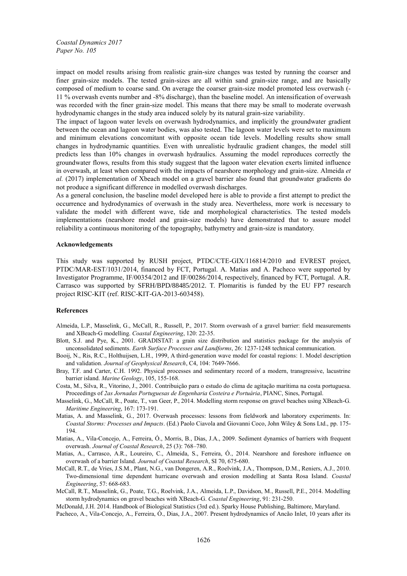impact on model results arising from realistic grain-size changes was tested by running the coarser and finer grain-size models. The tested grain-sizes are all within sand grain-size range, and are basically composed of medium to coarse sand. On average the coarser grain-size model promoted less overwash (- 11 % overwash events number and -8% discharge), than the baseline model. An intensification of overwash was recorded with the finer grain-size model. This means that there may be small to moderate overwash hydrodynamic changes in the study area induced solely by its natural grain-size variability.

The impact of lagoon water levels on overwash hydrodynamics, and implicitly the groundwater gradient between the ocean and lagoon water bodies, was also tested. The lagoon water levels were set to maximum and minimum elevations concomitant with opposite ocean tide levels. Modelling results show small changes in hydrodynamic quantities. Even with unrealistic hydraulic gradient changes, the model still predicts less than 10% changes in overwash hydraulics. Assuming the model reproduces correctly the groundwater flows, results from this study suggest that the lagoon water elevation exerts limited influence in overwash, at least when compared with the impacts of nearshore morphology and grain-size. Almeida *et al.* (2017) implementation of Xbeach model on a gravel barrier also found that groundwater gradients do not produce a significant difference in modelled overwash discharges.

As a general conclusion, the baseline model developed here is able to provide a first attempt to predict the occurrence and hydrodynamics of overwash in the study area. Nevertheless, more work is necessary to validate the model with different wave, tide and morphological characteristics. The tested models implementations (nearshore model and grain-size models) have demonstrated that to assure model reliability a continuous monitoring of the topography, bathymetry and grain-size is mandatory.

#### **Acknowledgements**

This study was supported by RUSH project, PTDC/CTE-GIX/116814/2010 and EVREST project, PTDC/MAR-EST/1031/2014, financed by FCT, Portugal. A. Matias and A. Pacheco were supported by Investigator Programme, IF/00354/2012 and IF/00286/2014, respectively, financed by FCT, Portugal. A.R. Carrasco was supported by SFRH/BPD/88485/2012. T. Plomaritis is funded by the EU FP7 research project RISC-KIT (ref. RISC-KIT-GA-2013-603458).

#### **References**

- Almeida, L.P., Masselink, G., McCall, R., Russell, P., 2017. Storm overwash of a gravel barrier: field measurements and XBeach-G modelling. *Coastal Engineering*, 120: 22-35.
- Blott, S.J. and Pye, K., 2001. GRADISTAT: a grain size distribution and statistics package for the analysis of unconsolidated sediments. *Earth Surface Processes and Landforms*, 26: 1237-1248 technical communication.
- Booij, N., Ris, R.C., Holthuijsen, L.H., 1999, A third-generation wave model for coastal regions: 1. Model description and validation. *Journal of Geophysical Research*, C4, 104: 7649-7666.
- Bray, T.F. and Carter, C.H. 1992. Physical processes and sedimentary record of a modern, transgressive, lacustrine barrier island. *Marine Geology*, 105, 155-168.
- Costa, M., Silva, R., Vitorino, J., 2001. Contribuição para o estudo do clima de agitação marítima na costa portuguesa. Proceedings of *2as Jornadas Portuguesas de Engenharia Costeira e Portuária*, PIANC, Sines, Portugal.
- Masselink, G., McCall, R., Poate, T., van Geer, P., 2014. Modelling storm response on gravel beaches using XBeach-G. *Maritime Engineering*, 167: 173-191.
- Matias, A. and Masselink, G., 2017. Overwash processes: lessons from fieldwork and laboratory experiments. In: *Coastal Storms: Processes and Impacts*. (Ed.) Paolo Ciavola and Giovanni Coco, John Wiley & Sons Ltd., pp. 175- 194.
- Matias, A., Vila-Concejo, A., Ferreira, Ó., Morris, B., Dias, J.A., 2009. Sediment dynamics of barriers with frequent overwash. *Journal of Coastal Research*, 25 (3): 768–780.
- Matias, A., Carrasco, A.R., Loureiro, C., Almeida, S., Ferreira, Ó., 2014. Nearshore and foreshore influence on overwash of a barrier Island. *Journal of Coastal Research*, SI 70, 675-680.
- McCall, R.T., de Vries, J.S.M., Plant, N.G., van Dongeren, A.R., Roelvink, J.A., Thompson, D.M., Reniers, A.J., 2010. Two-dimensional time dependent hurricane overwash and erosion modelling at Santa Rosa Island. *Coastal Engineering*, 57: 668-683.
- McCall, R.T., Masselink, G., Poate, T.G., Roelvink, J.A., Almeida, L.P., Davidson, M., Russell, P.E., 2014. Modelling storm hydrodynamics on gravel beaches with XBeach-G. *Coastal Engineering*, 91: 231-250.

McDonald, J.H. 2014. Handbook of Biological Statistics (3rd ed.). Sparky House Publishing, Baltimore, Maryland.

Pacheco, A., Vila-Concejo, A., Ferreira, Ó., Dias, J.A., 2007. Present hydrodynamics of Ancão Inlet, 10 years after its